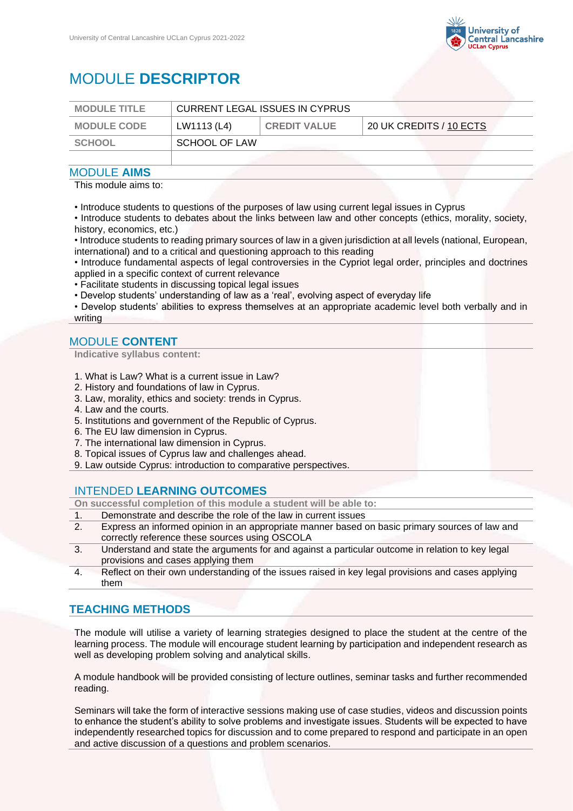

# MODULE **DESCRIPTOR**

| <b>MODULE TITLE</b> | <b>CURRENT LEGAL ISSUES IN CYPRUS</b> |                     |                         |
|---------------------|---------------------------------------|---------------------|-------------------------|
| <b>MODULE CODE</b>  | LW1113 (L4)                           | <b>CREDIT VALUE</b> | 20 UK CREDITS / 10 ECTS |
| SCHOOL              | SCHOOL OF LAW                         |                     |                         |
|                     |                                       |                     |                         |

#### MODULE **AIMS**

This module aims to:

• Introduce students to questions of the purposes of law using current legal issues in Cyprus

• Introduce students to debates about the links between law and other concepts (ethics, morality, society, history, economics, etc.)

• Introduce students to reading primary sources of law in a given jurisdiction at all levels (national, European, international) and to a critical and questioning approach to this reading

• Introduce fundamental aspects of legal controversies in the Cypriot legal order, principles and doctrines applied in a specific context of current relevance

- Facilitate students in discussing topical legal issues
- Develop students' understanding of law as a 'real', evolving aspect of everyday life

• Develop students' abilities to express themselves at an appropriate academic level both verbally and in writing

#### MODULE **CONTENT**

**Indicative syllabus content:**

- 1. What is Law? What is a current issue in Law?
- 2. History and foundations of law in Cyprus.
- 3. Law, morality, ethics and society: trends in Cyprus.
- 4. Law and the courts.
- 5. Institutions and government of the Republic of Cyprus.
- 6. The EU law dimension in Cyprus.
- 7. The international law dimension in Cyprus.
- 8. Topical issues of Cyprus law and challenges ahead.
- 9. Law outside Cyprus: introduction to comparative perspectives.

#### INTENDED **LEARNING OUTCOMES**

**On successful completion of this module a student will be able to:**

- 1. Demonstrate and describe the role of the law in current issues
- 2. Express an informed opinion in an appropriate manner based on basic primary sources of law and correctly reference these sources using OSCOLA
- 3. Understand and state the arguments for and against a particular outcome in relation to key legal provisions and cases applying them
- 4. Reflect on their own understanding of the issues raised in key legal provisions and cases applying them

### **TEACHING METHODS**

The module will utilise a variety of learning strategies designed to place the student at the centre of the learning process. The module will encourage student learning by participation and independent research as well as developing problem solving and analytical skills.

A module handbook will be provided consisting of lecture outlines, seminar tasks and further recommended reading.

Seminars will take the form of interactive sessions making use of case studies, videos and discussion points to enhance the student's ability to solve problems and investigate issues. Students will be expected to have independently researched topics for discussion and to come prepared to respond and participate in an open and active discussion of a questions and problem scenarios.